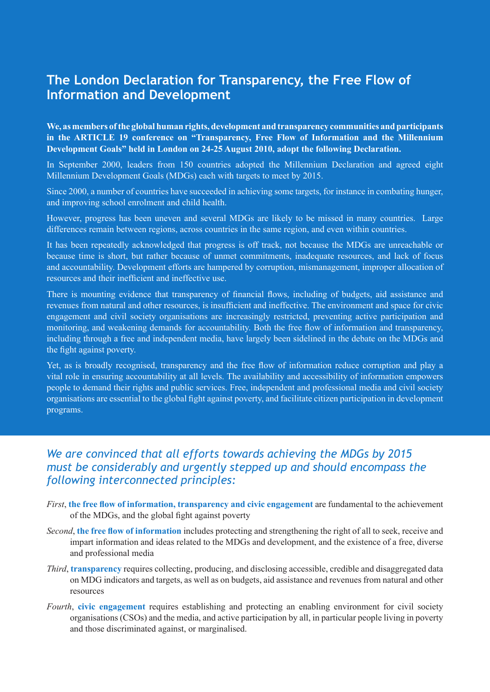# **The London Declaration for Transparency, the Free Flow of Information and Development**

**We, as members of the global human rights, development and transparency communities and participants in the ARTICLE 19 conference on "Transparency, Free Flow of Information and the Millennium Development Goals" held in London on 24-25 August 2010, adopt the following Declaration.** 

In September 2000, leaders from 150 countries adopted the Millennium Declaration and agreed eight Millennium Development Goals (MDGs) each with targets to meet by 2015.

Since 2000, a number of countries have succeeded in achieving some targets, for instance in combating hunger, and improving school enrolment and child health.

However, progress has been uneven and several MDGs are likely to be missed in many countries. Large differences remain between regions, across countries in the same region, and even within countries.

It has been repeatedly acknowledged that progress is off track, not because the MDGs are unreachable or because time is short, but rather because of unmet commitments, inadequate resources, and lack of focus and accountability. Development efforts are hampered by corruption, mismanagement, improper allocation of resources and their inefficient and ineffective use.

There is mounting evidence that transparency of financial flows, including of budgets, aid assistance and revenues from natural and other resources, is insufficient and ineffective. The environment and space for civic engagement and civil society organisations are increasingly restricted, preventing active participation and monitoring, and weakening demands for accountability. Both the free flow of information and transparency, including through a free and independent media, have largely been sidelined in the debate on the MDGs and the fight against poverty.

Yet, as is broadly recognised, transparency and the free flow of information reduce corruption and play a vital role in ensuring accountability at all levels. The availability and accessibility of information empowers people to demand their rights and public services. Free, independent and professional media and civil society organisations are essential to the global fight against poverty, and facilitate citizen participation in development programs.

### *We are convinced that all efforts towards achieving the MDGs by 2015 must be considerably and urgently stepped up and should encompass the following interconnected principles:*

- *First*, **the free flow of information, transparency and civic engagement** are fundamental to the achievement of the MDGs, and the global fight against poverty
- *Second*, **the free flow of information** includes protecting and strengthening the right of all to seek, receive and impart information and ideas related to the MDGs and development, and the existence of a free, diverse and professional media
- *Third*, **transparency** requires collecting, producing, and disclosing accessible, credible and disaggregated data on MDG indicators and targets, as well as on budgets, aid assistance and revenues from natural and other resources
- *Fourth*, **civic engagement** requires establishing and protecting an enabling environment for civil society organisations (CSOs) and the media, and active participation by all, in particular people living in poverty and those discriminated against, or marginalised.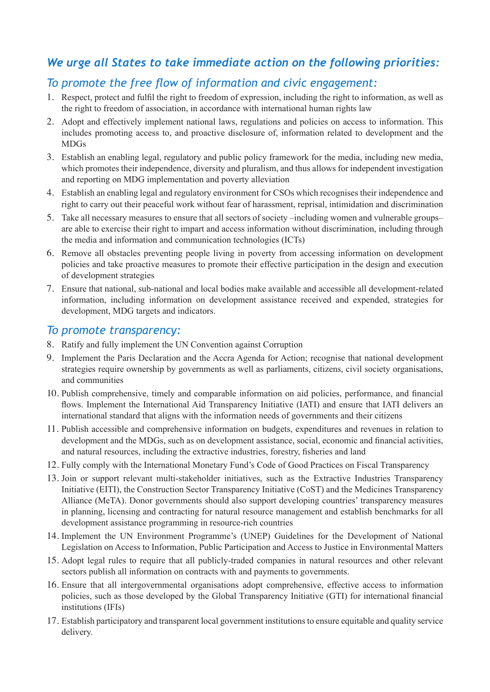## *We urge all States to take immediate action on the following priorities:*

### *To promote the free flow of information and civic engagement:*

- 1. Respect, protect and fulfil the right to freedom of expression, including the right to information, as well as the right to freedom of association, in accordance with international human rights law
- 2. Adopt and effectively implement national laws, regulations and policies on access to information. This includes promoting access to, and proactive disclosure of, information related to development and the MDGs
- 3. Establish an enabling legal, regulatory and public policy framework for the media, including new media, which promotes their independence, diversity and pluralism, and thus allows for independent investigation and reporting on MDG implementation and poverty alleviation
- 4. Establish an enabling legal and regulatory environment for CSOs which recognises their independence and right to carry out their peaceful work without fear of harassment, reprisal, intimidation and discrimination
- 5. Take all necessary measures to ensure that all sectors of society –including women and vulnerable groups– are able to exercise their right to impart and access information without discrimination, including through the media and information and communication technologies (ICTs)
- 6. Remove all obstacles preventing people living in poverty from accessing information on development policies and take proactive measures to promote their effective participation in the design and execution of development strategies
- 7. Ensure that national, sub-national and local bodies make available and accessible all development-related information, including information on development assistance received and expended, strategies for development, MDG targets and indicators.

#### *To promote transparency:*

- 8. Ratify and fully implement the UN Convention against Corruption
- 9. Implement the Paris Declaration and the Accra Agenda for Action; recognise that national development strategies require ownership by governments as well as parliaments, citizens, civil society organisations, and communities
- 10. Publish comprehensive, timely and comparable information on aid policies, performance, and financial flows. Implement the International Aid Transparency Initiative (IATI) and ensure that IATI delivers an international standard that aligns with the information needs of governments and their citizens
- 11. Publish accessible and comprehensive information on budgets, expenditures and revenues in relation to development and the MDGs, such as on development assistance, social, economic and financial activities, and natural resources, including the extractive industries, forestry, fisheries and land
- 12. Fully comply with the International Monetary Fund's Code of Good Practices on Fiscal Transparency
- 13. Join or support relevant multi-stakeholder initiatives, such as the Extractive Industries Transparency Initiative (EITI), the Construction Sector Transparency Initiative (CoST) and the Medicines Transparency Alliance (MeTA). Donor governments should also support developing countries' transparency measures in planning, licensing and contracting for natural resource management and establish benchmarks for all development assistance programming in resource-rich countries
- 14. Implement the UN Environment Programme's (UNEP) Guidelines for the Development of National Legislation on Access to Information, Public Participation and Access to Justice in Environmental Matters
- 15. Adopt legal rules to require that all publicly-traded companies in natural resources and other relevant sectors publish all information on contracts with and payments to governments.
- 16. Ensure that all intergovernmental organisations adopt comprehensive, effective access to information policies, such as those developed by the Global Transparency Initiative (GTI) for international financial institutions (IFIs)
- 17. Establish participatory and transparent local government institutions to ensure equitable and quality service delivery.